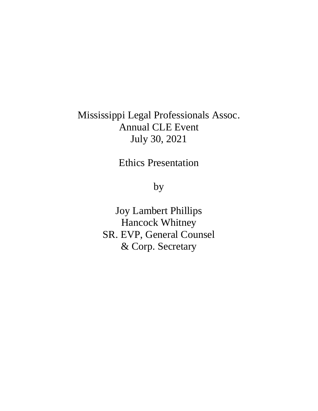## Mississippi Legal Professionals Assoc. Annual CLE Event July 30, 2021

Ethics Presentation

by

Joy Lambert Phillips Hancock Whitney SR. EVP, General Counsel & Corp. Secretary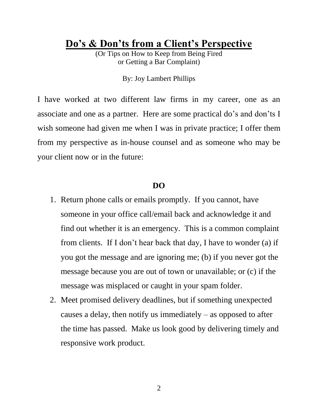**Do's & Don'ts from a Client's Perspective**

(Or Tips on How to Keep from Being Fired or Getting a Bar Complaint)

By: Joy Lambert Phillips

I have worked at two different law firms in my career, one as an associate and one as a partner. Here are some practical do's and don'ts I wish someone had given me when I was in private practice; I offer them from my perspective as in-house counsel and as someone who may be your client now or in the future:

## **DO**

- 1. Return phone calls or emails promptly. If you cannot, have someone in your office call/email back and acknowledge it and find out whether it is an emergency. This is a common complaint from clients. If I don't hear back that day, I have to wonder (a) if you got the message and are ignoring me; (b) if you never got the message because you are out of town or unavailable; or (c) if the message was misplaced or caught in your spam folder.
- 2. Meet promised delivery deadlines, but if something unexpected causes a delay, then notify us immediately  $-$  as opposed to after the time has passed. Make us look good by delivering timely and responsive work product.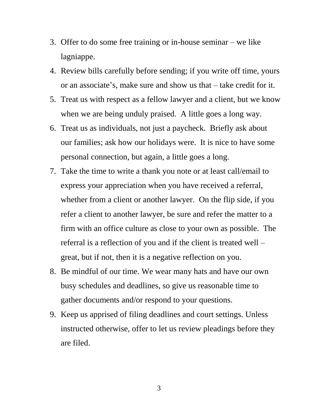- 3. Offer to do some free training or in-house seminar we like lagniappe.
- 4. Review bills carefully before sending; if you write off time, yours or an associate's, make sure and show us that – take credit for it.
- 5. Treat us with respect as a fellow lawyer and a client, but we know when we are being unduly praised. A little goes a long way.
- 6. Treat us as individuals, not just a paycheck. Briefly ask about our families; ask how our holidays were. It is nice to have some personal connection, but again, a little goes a long.
- 7. Take the time to write a thank you note or at least call/email to express your appreciation when you have received a referral, whether from a client or another lawyer. On the flip side, if you refer a client to another lawyer, be sure and refer the matter to a firm with an office culture as close to your own as possible. The referral is a reflection of you and if the client is treated well – great, but if not, then it is a negative reflection on you.
- 8. Be mindful of our time. We wear many hats and have our own busy schedules and deadlines, so give us reasonable time to gather documents and/or respond to your questions.
- 9. Keep us apprised of filing deadlines and court settings. Unless instructed otherwise, offer to let us review pleadings before they are filed.

3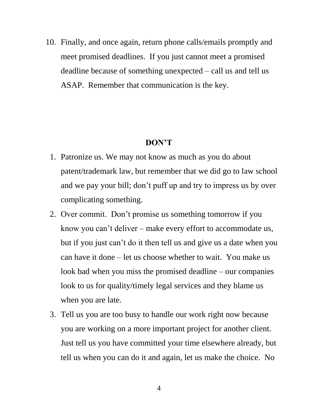10. Finally, and once again, return phone calls/emails promptly and meet promised deadlines. If you just cannot meet a promised deadline because of something unexpected – call us and tell us ASAP. Remember that communication is the key.

## **DON'T**

- 1. Patronize us. We may not know as much as you do about patent/trademark law, but remember that we did go to law school and we pay your bill; don't puff up and try to impress us by over complicating something.
- 2. Over commit. Don't promise us something tomorrow if you know you can't deliver – make every effort to accommodate us, but if you just can't do it then tell us and give us a date when you can have it done – let us choose whether to wait. You make us look bad when you miss the promised deadline – our companies look to us for quality/timely legal services and they blame us when you are late.
- 3. Tell us you are too busy to handle our work right now because you are working on a more important project for another client. Just tell us you have committed your time elsewhere already, but tell us when you can do it and again, let us make the choice. No

4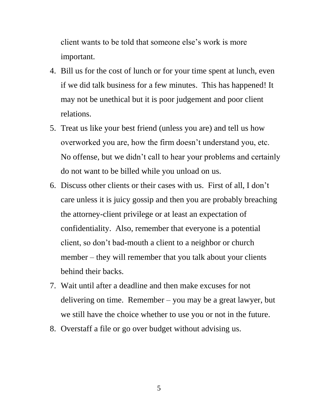client wants to be told that someone else's work is more important.

- 4. Bill us for the cost of lunch or for your time spent at lunch, even if we did talk business for a few minutes. This has happened! It may not be unethical but it is poor judgement and poor client relations.
- 5. Treat us like your best friend (unless you are) and tell us how overworked you are, how the firm doesn't understand you, etc. No offense, but we didn't call to hear your problems and certainly do not want to be billed while you unload on us.
- 6. Discuss other clients or their cases with us. First of all, I don't care unless it is juicy gossip and then you are probably breaching the attorney-client privilege or at least an expectation of confidentiality. Also, remember that everyone is a potential client, so don't bad-mouth a client to a neighbor or church member – they will remember that you talk about your clients behind their backs.
- 7. Wait until after a deadline and then make excuses for not delivering on time. Remember – you may be a great lawyer, but we still have the choice whether to use you or not in the future.
- 8. Overstaff a file or go over budget without advising us.